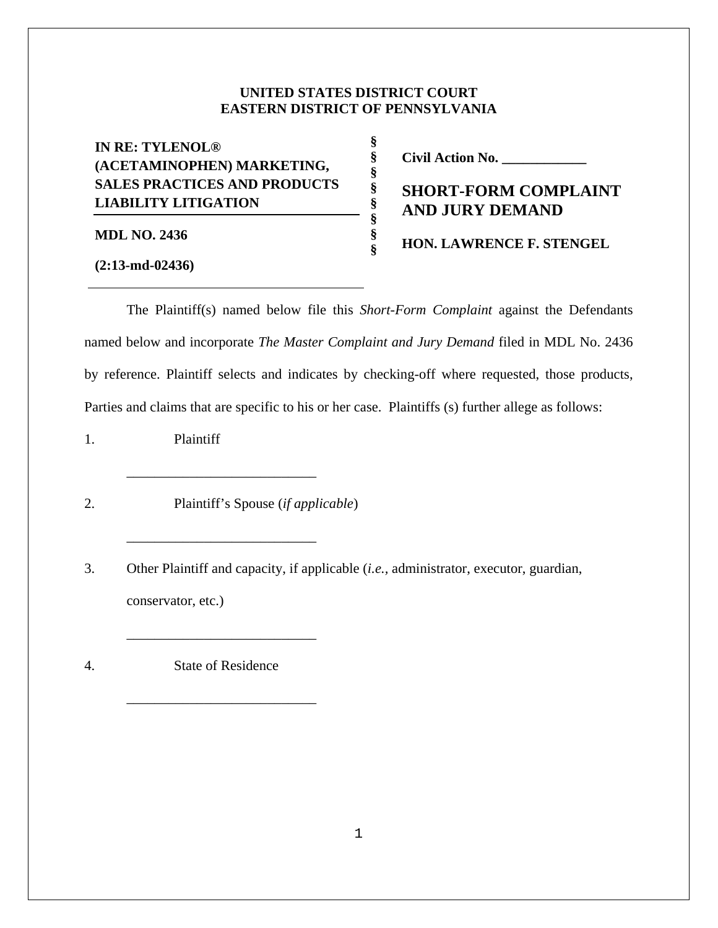## **UNITED STATES DISTRICT COURT EASTERN DISTRICT OF PENNSYLVANIA**

**§ § § § § § § §** 

| <b>LIABILITY LITIGATION</b>         |  |  |  |
|-------------------------------------|--|--|--|
| <b>SALES PRACTICES AND PRODUCTS</b> |  |  |  |
| (ACETAMINOPHEN) MARKETING,          |  |  |  |
| <b>IN RE: TYLENOL®</b>              |  |  |  |

**MDL NO. 2436** 

**Civil Action No. \_\_\_\_\_\_\_\_\_\_\_\_** 

**SHORT-FORM COMPLAINT AND JURY DEMAND** 

**HON. LAWRENCE F. STENGEL**

**(2:13-md-02436)**

 The Plaintiff(s) named below file this *Short-Form Complaint* against the Defendants named below and incorporate *The Master Complaint and Jury Demand* filed in MDL No. 2436 by reference. Plaintiff selects and indicates by checking-off where requested, those products, Parties and claims that are specific to his or her case. Plaintiffs (s) further allege as follows:

1. Plaintiff

2. Plaintiff's Spouse (*if applicable*)

\_\_\_\_\_\_\_\_\_\_\_\_\_\_\_\_\_\_\_\_\_\_\_\_\_\_\_

\_\_\_\_\_\_\_\_\_\_\_\_\_\_\_\_\_\_\_\_\_\_\_\_\_\_\_

\_\_\_\_\_\_\_\_\_\_\_\_\_\_\_\_\_\_\_\_\_\_\_\_\_\_\_

\_\_\_\_\_\_\_\_\_\_\_\_\_\_\_\_\_\_\_\_\_\_\_\_\_\_\_

3. Other Plaintiff and capacity, if applicable (*i.e.,* administrator, executor, guardian, conservator, etc.)

4. State of Residence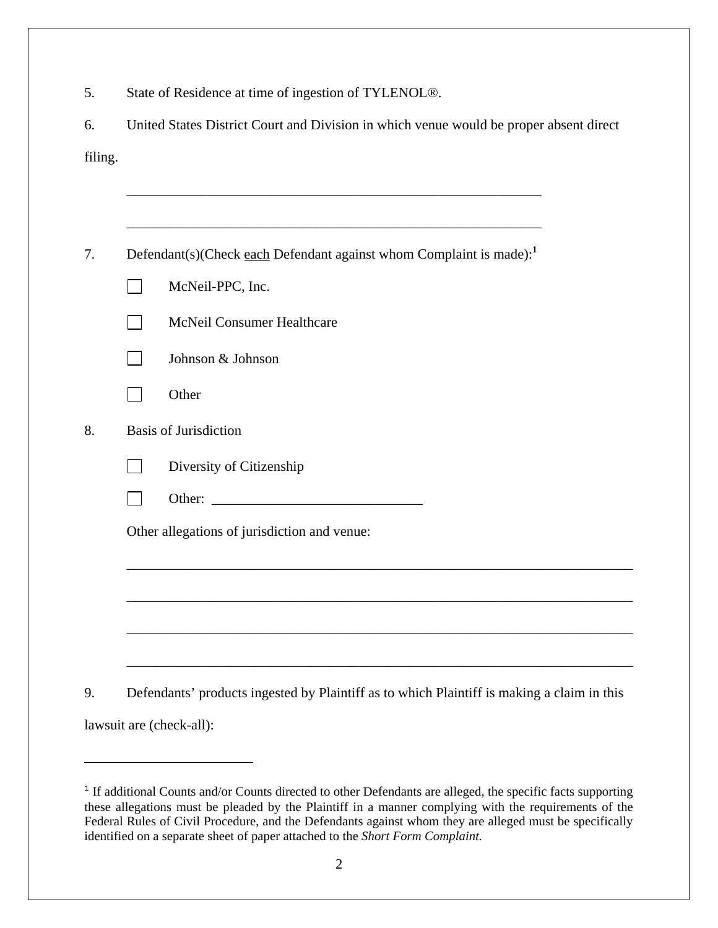| 5.      | State of Residence at time of ingestion of TYLENOL®.                                       |  |  |  |
|---------|--------------------------------------------------------------------------------------------|--|--|--|
| 6.      | United States District Court and Division in which venue would be proper absent direct     |  |  |  |
| filing. |                                                                                            |  |  |  |
|         |                                                                                            |  |  |  |
|         |                                                                                            |  |  |  |
| 7.      | Defendant(s)(Check each Defendant against whom Complaint is made): <sup>1</sup>            |  |  |  |
|         | McNeil-PPC, Inc.                                                                           |  |  |  |
|         | McNeil Consumer Healthcare<br>$\vert \ \ \vert$                                            |  |  |  |
|         | Johnson & Johnson                                                                          |  |  |  |
|         | Other                                                                                      |  |  |  |
| 8.      | <b>Basis of Jurisdiction</b>                                                               |  |  |  |
|         | Diversity of Citizenship                                                                   |  |  |  |
|         |                                                                                            |  |  |  |
|         | Other allegations of jurisdiction and venue:                                               |  |  |  |
|         |                                                                                            |  |  |  |
|         |                                                                                            |  |  |  |
|         |                                                                                            |  |  |  |
|         |                                                                                            |  |  |  |
| 9.      | Defendants' products ingested by Plaintiff as to which Plaintiff is making a claim in this |  |  |  |
|         | lawsuit are (check-all):                                                                   |  |  |  |
|         |                                                                                            |  |  |  |

<sup>&</sup>lt;sup>1</sup> If additional Counts and/or Counts directed to other Defendants are alleged, the specific facts supporting these allegations must be pleaded by the Plaintiff in a manner complying with the requirements of the Federal Rules of Civil Procedure, and the Defendants against whom they are alleged must be specifically identified on a separate sheet of paper attached to the *Short Form Complaint.*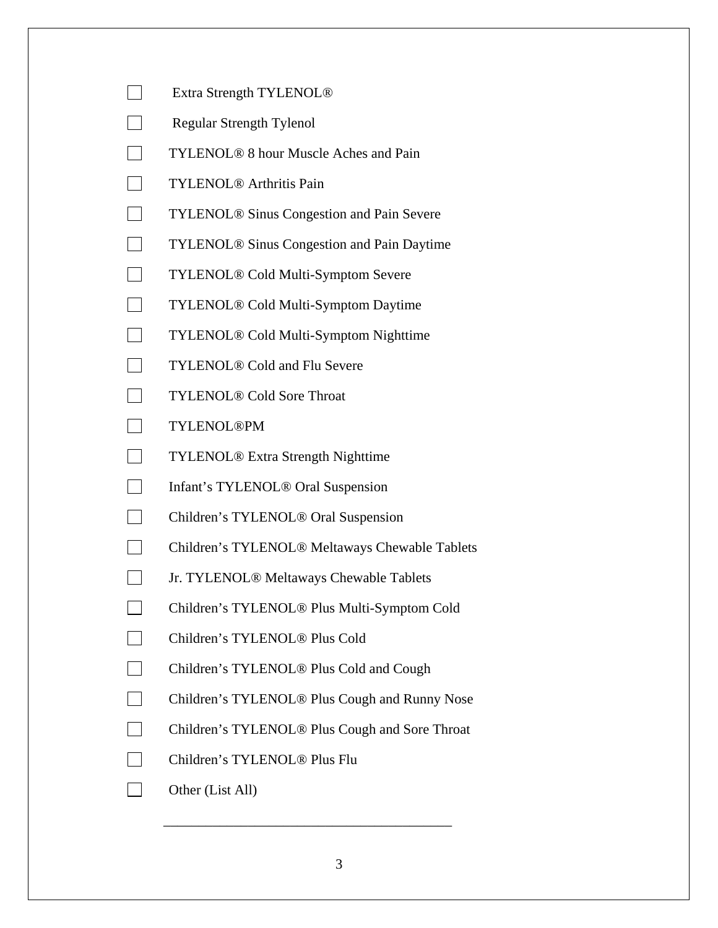- Extra Strength TYLENOL<sup>®</sup>
- Regular Strength Tylenol
- **TYLENOL<sup>®</sup> 8 hour Muscle Aches and Pain**
- TYLENOL<sup>®</sup> Arthritis Pain
- **TYLENOL® Sinus Congestion and Pain Severe**
- TYLENOL<sup>®</sup> Sinus Congestion and Pain Daytime
- □ TYLENOL<sup>®</sup> Cold Multi-Symptom Severe
- TYLENOL<sup>®</sup> Cold Multi-Symptom Daytime
- □ TYLENOL<sup>®</sup> Cold Multi-Symptom Nighttime
- TYLENOL<sup>®</sup> Cold and Flu Severe
- TYLENOL<sup>®</sup> Cold Sore Throat
- TYLENOL®PM
- TYLENOL<sup>®</sup> Extra Strength Nighttime
- □ Infant's TYLENOL<sup>®</sup> Oral Suspension
- □ Children's TYLENOL<sup>®</sup> Oral Suspension
- □ Children's TYLENOL<sup>®</sup> Meltaways Chewable Tablets
- Jr. TYLENOL® Meltaways Chewable Tablets
- □ Children's TYLENOL<sup>®</sup> Plus Multi-Symptom Cold
- □ Children's TYLENOL<sup>®</sup> Plus Cold
- □ Children's TYLENOL<sup>®</sup> Plus Cold and Cough
- □ Children's TYLENOL<sup>®</sup> Plus Cough and Runny Nose
- □ Children's TYLENOL<sup>®</sup> Plus Cough and Sore Throat

\_\_\_\_\_\_\_\_\_\_\_\_\_\_\_\_\_\_\_\_\_\_\_\_\_\_\_\_\_\_\_\_\_\_\_\_\_\_\_\_\_

- Children's TYLENOL® Plus Flu
- Other (List All)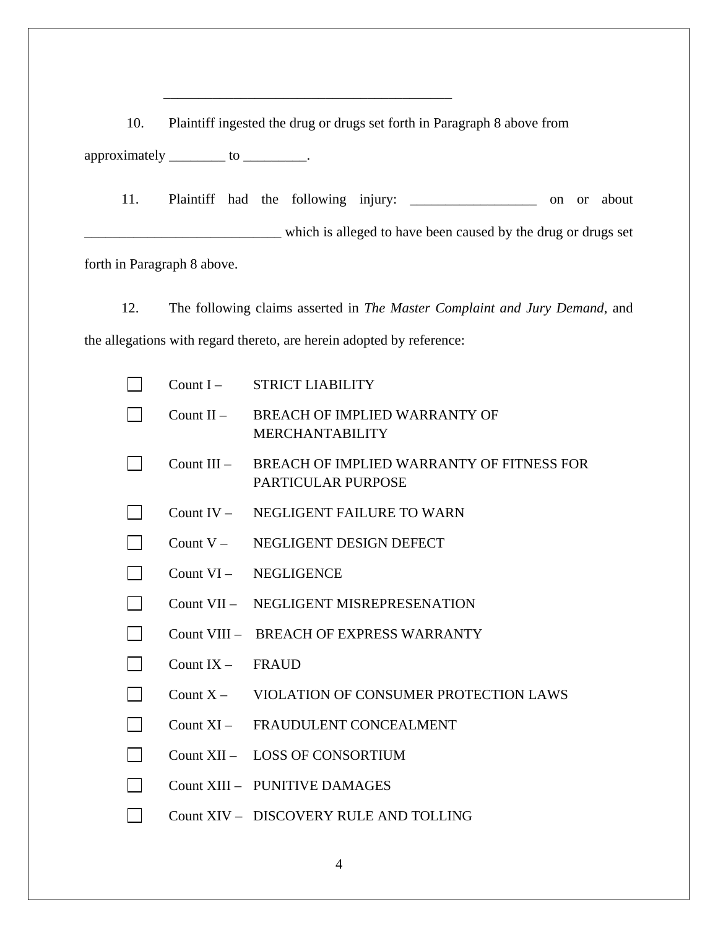10. Plaintiff ingested the drug or drugs set forth in Paragraph 8 above from approximately \_\_\_\_\_\_\_\_\_ to \_\_\_\_\_\_\_\_.

\_\_\_\_\_\_\_\_\_\_\_\_\_\_\_\_\_\_\_\_\_\_\_\_\_\_\_\_\_\_\_\_\_\_\_\_\_\_\_\_\_

11. Plaintiff had the following injury: \_\_\_\_\_\_\_\_\_\_\_\_\_\_\_\_\_\_ on or about which is alleged to have been caused by the drug or drugs set forth in Paragraph 8 above.

12. The following claims asserted in *The Master Complaint and Jury Demand*, and the allegations with regard thereto, are herein adopted by reference:

| Count $I -$   | <b>STRICT LIABILITY</b>                                         |
|---------------|-----------------------------------------------------------------|
| Count $II -$  | BREACH OF IMPLIED WARRANTY OF<br><b>MERCHANTABILITY</b>         |
| Count $III -$ | BREACH OF IMPLIED WARRANTY OF FITNESS FOR<br>PARTICULAR PURPOSE |
|               | Count IV - NEGLIGENT FAILURE TO WARN                            |
|               | Count V - NEGLIGENT DESIGN DEFECT                               |
|               | Count VI - NEGLIGENCE                                           |
|               | Count VII - NEGLIGENT MISREPRESENATION                          |
|               | Count VIII - BREACH OF EXPRESS WARRANTY                         |
| Count $IX -$  | <b>FRAUD</b>                                                    |
| Count $X -$   | VIOLATION OF CONSUMER PROTECTION LAWS                           |
|               | Count XI - FRAUDULENT CONCEALMENT                               |
|               | Count XII - LOSS OF CONSORTIUM                                  |
|               | Count XIII - PUNITIVE DAMAGES                                   |
|               | Count XIV - DISCOVERY RULE AND TOLLING                          |